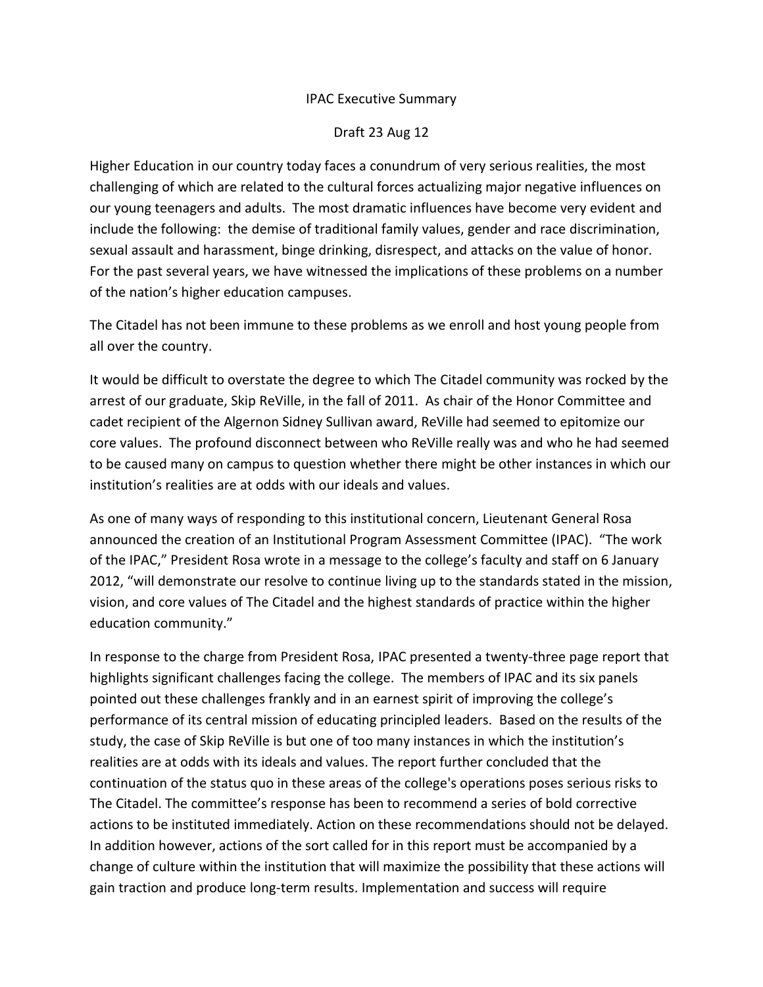# IPAC Executive Summary

### Draft 23 Aug 12

Higher Education in our country today faces a conundrum of very serious realities, the most challenging of which are related to the cultural forces actualizing major negative influences on our young teenagers and adults. The most dramatic influences have become very evident and include the following: the demise of traditional family values, gender and race discrimination, sexual assault and harassment, binge drinking, disrespect, and attacks on the value of honor. For the past several years, we have witnessed the implications of these problems on a number of the nation's higher education campuses.

The Citadel has not been immune to these problems as we enroll and host young people from all over the country.

It would be difficult to overstate the degree to which The Citadel community was rocked by the arrest of our graduate, Skip ReVille, in the fall of 2011. As chair of the Honor Committee and cadet recipient of the Algernon Sidney Sullivan award, ReVille had seemed to epitomize our core values. The profound disconnect between who ReVille really was and who he had seemed to be caused many on campus to question whether there might be other instances in which our institution's realities are at odds with our ideals and values.

As one of many ways of responding to this institutional concern, Lieutenant General Rosa announced the creation of an Institutional Program Assessment Committee (IPAC). "The work of the IPAC," President Rosa wrote in a message to the college's faculty and staff on 6 January 2012, "will demonstrate our resolve to continue living up to the standards stated in the mission, vision, and core values of The Citadel and the highest standards of practice within the higher education community."

In response to the charge from President Rosa, IPAC presented a twenty-three page report that highlights significant challenges facing the college. The members of IPAC and its six panels pointed out these challenges frankly and in an earnest spirit of improving the college's performance of its central mission of educating principled leaders. Based on the results of the study, the case of Skip ReVille is but one of too many instances in which the institution's realities are at odds with its ideals and values. The report further concluded that the continuation of the status quo in these areas of the college's operations poses serious risks to The Citadel. The committee's response has been to recommend a series of bold corrective actions to be instituted immediately. Action on these recommendations should not be delayed. In addition however, actions of the sort called for in this report must be accompanied by a change of culture within the institution that will maximize the possibility that these actions will gain traction and produce long-term results. Implementation and success will require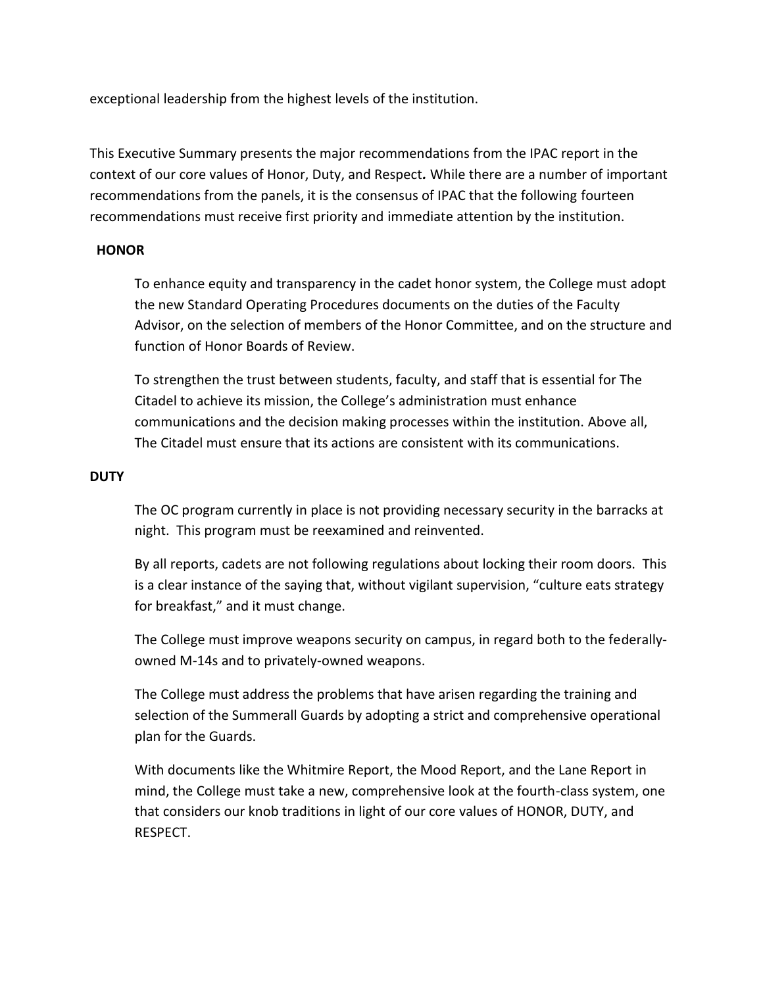exceptional leadership from the highest levels of the institution.

This Executive Summary presents the major recommendations from the IPAC report in the context of our core values of Honor, Duty, and Respect*.* While there are a number of important recommendations from the panels, it is the consensus of IPAC that the following fourteen recommendations must receive first priority and immediate attention by the institution.

# **HONOR**

To enhance equity and transparency in the cadet honor system, the College must adopt the new Standard Operating Procedures documents on the duties of the Faculty Advisor, on the selection of members of the Honor Committee, and on the structure and function of Honor Boards of Review.

To strengthen the trust between students, faculty, and staff that is essential for The Citadel to achieve its mission, the College's administration must enhance communications and the decision making processes within the institution. Above all, The Citadel must ensure that its actions are consistent with its communications.

## **DUTY**

The OC program currently in place is not providing necessary security in the barracks at night. This program must be reexamined and reinvented.

By all reports, cadets are not following regulations about locking their room doors. This is a clear instance of the saying that, without vigilant supervision, "culture eats strategy for breakfast," and it must change.

The College must improve weapons security on campus, in regard both to the federallyowned M-14s and to privately-owned weapons.

The College must address the problems that have arisen regarding the training and selection of the Summerall Guards by adopting a strict and comprehensive operational plan for the Guards.

With documents like the Whitmire Report, the Mood Report, and the Lane Report in mind, the College must take a new, comprehensive look at the fourth-class system, one that considers our knob traditions in light of our core values of HONOR, DUTY, and RESPECT.